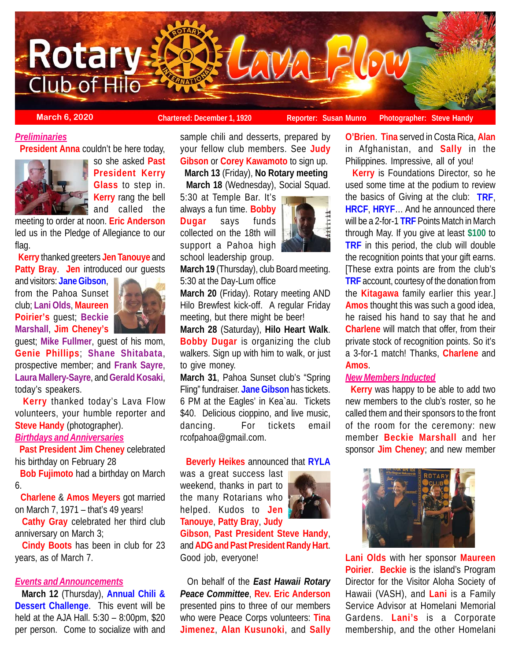

# *Preliminaries*

**President Anna** couldn't be here today,



so she asked **Past President Kerry Glass** to step in. **Kerry** rang the bell and called the

meeting to order at noon. **Eric Anderson** led us in the Pledge of Allegiance to our flag.

 **Kerry** thanked greeters **Jen Tanouye** and **Patty Bray**. **Jen** introduced our guests

and visitors: **Jane Gibson**, from the Pahoa Sunset club; **Lani Olds**, **Maureen Poirier's** guest; **Beckie Marshall**, **Jim Cheney's**



guest; **Mike Fullmer**, guest of his mom, **Genie Phillips**; **Shane Shitabata**, prospective member; and **Frank Sayre**, **Laura Mallery-Sayre**, and **Gerald Kosaki**, today's speakers.

 **Kerry** thanked today's Lava Flow volunteers, your humble reporter and **Steve Handy** (photographer).

# *Birthdays and Anniversaries*

 **Past President Jim Cheney** celebrated his birthday on February 28

 **Bob Fujimoto** had a birthday on March 6.

 **Charlene** & **Amos Meyers** got married on March 7, 1971 – that's 49 years!

 **Cathy Gray** celebrated her third club anniversary on March 3;

 **Cindy Boots** has been in club for 23 years, as of March 7.

## *Events and Announcements*

 **March 12** (Thursday), **Annual Chili & Dessert Challenge**. This event will be held at the AJA Hall. 5:30 – 8:00pm, \$20 per person. Come to socialize with and

sample chili and desserts, prepared by your fellow club members. See **Judy Gibson** or **Corey Kawamoto** to sign up. **March 13** (Friday), **No Rotary meeting**

**March 18** (Wednesday), Social Squad.

5:30 at Temple Bar. It's always a fun time. **Bobby Dugar** says funds collected on the 18th will support a Pahoa high school leadership group.



**March 19** (Thursday), club Board meeting. 5:30 at the Day-Lum office

**March 20** (Friday). Rotary meeting AND Hilo Brewfest kick-off. A regular Friday meeting, but there might be beer!

**March 28** (Saturday), **Hilo Heart Walk**. **Bobby Dugar** is organizing the club walkers. Sign up with him to walk, or just to give money.

**March 31**, Pahoa Sunset club's "Spring Fling" fundraiser. **Jane Gibson** has tickets. 6 PM at the Eagles' in Kea`au. Tickets \$40. Delicious cioppino, and live music, dancing. For tickets email rcofpahoa@gmail.com.

#### **Beverly Heikes** announced that **RYLA**

was a great success last weekend, thanks in part to the many Rotarians who helped. Kudos to **Jen Tanouye**, **Patty Bray**, **Judy**



**Gibson**, **Past President Steve Handy**, and **ADG and Past President Randy Hart**. Good job, everyone!

 On behalf of the *East Hawaii Rotary Peace Committee*, **Rev. Eric Anderson** presented pins to three of our members who were Peace Corps volunteers: **Tina Jimenez**, **Alan Kusunoki**, and **Sally**

**O'Brien**. **Tina** served in Costa Rica, **Alan** in Afghanistan, and **Sally** in the Philippines. Impressive, all of you!

 **Kerry** is Foundations Director, so he used some time at the podium to review the basics of Giving at the club: **TRF**, **HRCF**, **HRYF**… And he announced there will be a 2-for-1 **TRF** Points Match in March through May. If you give at least **\$100** to **TRF** in this period, the club will double the recognition points that your gift earns. [These extra points are from the club's **TRF** account, courtesy of the donation from the **Kitagawa** family earlier this year.] **Amos** thought this was such a good idea, he raised his hand to say that he and **Charlene** will match that offer, from their private stock of recognition points. So it's a 3-for-1 match! Thanks, **Charlene** and **Amos**.

## *New Members Inducted*

 **Kerry** was happy to be able to add two new members to the club's roster, so he called them and their sponsors to the front of the room for the ceremony: new member **Beckie Marshall** and her sponsor **Jim Cheney**; and new member



**Lani Olds** with her sponsor **Maureen Poirier**. **Beckie** is the island's Program Director for the Visitor Aloha Society of Hawaii (VASH), and **Lani** is a Family Service Advisor at Homelani Memorial Gardens. **Lani's** is a Corporate membership, and the other Homelani